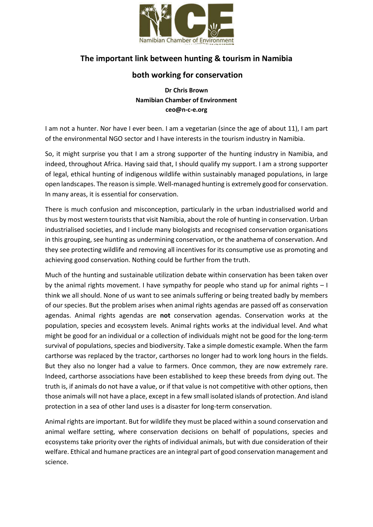

## **The important link between hunting & tourism in Namibia**

## **both working for conservation**

**Dr Chris Brown Namibian Chamber of Environment ceo@n-c-e.org**

I am not a hunter. Nor have I ever been. I am a vegetarian (since the age of about 11), I am part of the environmental NGO sector and I have interests in the tourism industry in Namibia.

So, it might surprise you that I am a strong supporter of the hunting industry in Namibia, and indeed, throughout Africa. Having said that, I should qualify my support. I am a strong supporter of legal, ethical hunting of indigenous wildlife within sustainably managed populations, in large open landscapes. The reason is simple. Well-managed hunting is extremely good for conservation. In many areas, it is essential for conservation.

There is much confusion and misconception, particularly in the urban industrialised world and thus by most western tourists that visit Namibia, about the role of hunting in conservation. Urban industrialised societies, and I include many biologists and recognised conservation organisations in this grouping, see hunting as undermining conservation, or the anathema of conservation. And they see protecting wildlife and removing all incentives for its consumptive use as promoting and achieving good conservation. Nothing could be further from the truth.

Much of the hunting and sustainable utilization debate within conservation has been taken over by the animal rights movement. I have sympathy for people who stand up for animal rights – I think we all should. None of us want to see animals suffering or being treated badly by members of our species. But the problem arises when animal rights agendas are passed off as conservation agendas. Animal rights agendas are **not** conservation agendas. Conservation works at the population, species and ecosystem levels. Animal rights works at the individual level. And what might be good for an individual or a collection of individuals might not be good for the long-term survival of populations, species and biodiversity. Take a simple domestic example. When the farm carthorse was replaced by the tractor, carthorses no longer had to work long hours in the fields. But they also no longer had a value to farmers. Once common, they are now extremely rare. Indeed, carthorse associations have been established to keep these breeds from dying out. The truth is, if animals do not have a value, or if that value is not competitive with other options, then those animals will not have a place, except in a few small isolated islands of protection. And island protection in a sea of other land uses is a disaster for long-term conservation.

Animal rights are important. But for wildlife they must be placed within a sound conservation and animal welfare setting, where conservation decisions on behalf of populations, species and ecosystems take priority over the rights of individual animals, but with due consideration of their welfare. Ethical and humane practices are an integral part of good conservation management and science.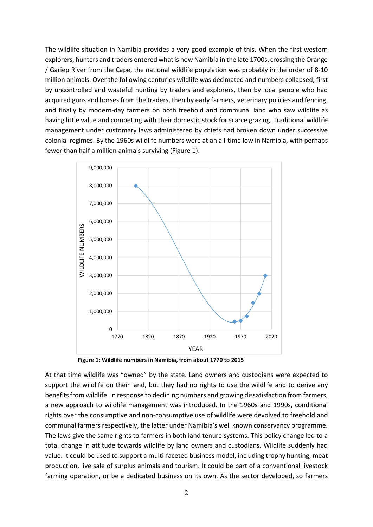The wildlife situation in Namibia provides a very good example of this. When the first western explorers, hunters and traders entered what is now Namibia in the late 1700s, crossing the Orange / Gariep River from the Cape, the national wildlife population was probably in the order of 8-10 million animals. Over the following centuries wildlife was decimated and numbers collapsed, first by uncontrolled and wasteful hunting by traders and explorers, then by local people who had acquired guns and horses from the traders, then by early farmers, veterinary policies and fencing, and finally by modern-day farmers on both freehold and communal land who saw wildlife as having little value and competing with their domestic stock for scarce grazing. Traditional wildlife management under customary laws administered by chiefs had broken down under successive colonial regimes. By the 1960s wildlife numbers were at an all-time low in Namibia, with perhaps fewer than half a million animals surviving (Figure 1).



**Figure 1: Wildlife numbers in Namibia, from about 1770 to 2015**

At that time wildlife was "owned" by the state. Land owners and custodians were expected to support the wildlife on their land, but they had no rights to use the wildlife and to derive any benefits from wildlife. In response to declining numbers and growing dissatisfaction from farmers, a new approach to wildlife management was introduced. In the 1960s and 1990s, conditional rights over the consumptive and non-consumptive use of wildlife were devolved to freehold and communal farmers respectively, the latter under Namibia's well known conservancy programme. The laws give the same rights to farmers in both land tenure systems. This policy change led to a total change in attitude towards wildlife by land owners and custodians. Wildlife suddenly had value. It could be used to support a multi-faceted business model, including trophy hunting, meat production, live sale of surplus animals and tourism. It could be part of a conventional livestock farming operation, or be a dedicated business on its own. As the sector developed, so farmers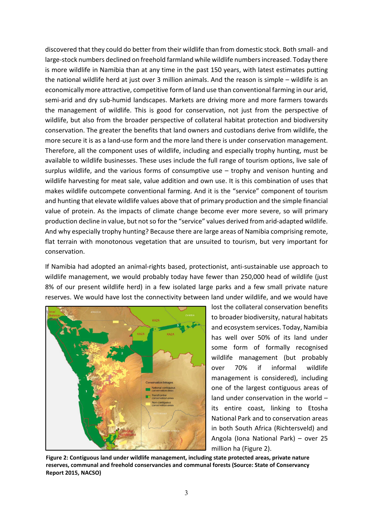discovered that they could do better from their wildlife than from domestic stock. Both small- and large-stock numbers declined on freehold farmland while wildlife numbers increased. Today there is more wildlife in Namibia than at any time in the past 150 years, with latest estimates putting the national wildlife herd at just over 3 million animals. And the reason is simple – wildlife is an economically more attractive, competitive form of land use than conventional farming in our arid, semi-arid and dry sub-humid landscapes. Markets are driving more and more farmers towards the management of wildlife. This is good for conservation, not just from the perspective of wildlife, but also from the broader perspective of collateral habitat protection and biodiversity conservation. The greater the benefits that land owners and custodians derive from wildlife, the more secure it is as a land-use form and the more land there is under conservation management. Therefore, all the component uses of wildlife, including and especially trophy hunting, must be available to wildlife businesses. These uses include the full range of tourism options, live sale of surplus wildlife, and the various forms of consumptive use – trophy and venison hunting and wildlife harvesting for meat sale, value addition and own use. It is this combination of uses that makes wildlife outcompete conventional farming. And it is the "service" component of tourism and hunting that elevate wildlife values above that of primary production and the simple financial value of protein. As the impacts of climate change become ever more severe, so will primary production decline in value, but not so for the "service" values derived from arid-adapted wildlife. And why especially trophy hunting? Because there are large areas of Namibia comprising remote, flat terrain with monotonous vegetation that are unsuited to tourism, but very important for conservation.

If Namibia had adopted an animal-rights based, protectionist, anti-sustainable use approach to wildlife management, we would probably today have fewer than 250,000 head of wildlife (just 8% of our present wildlife herd) in a few isolated large parks and a few small private nature reserves. We would have lost the connectivity between land under wildlife, and we would have



lost the collateral conservation benefits to broader biodiversity, natural habitats and ecosystem services. Today, Namibia has well over 50% of its land under some form of formally recognised wildlife management (but probably over 70% if informal wildlife management is considered), including one of the largest contiguous areas of land under conservation in the world – its entire coast, linking to Etosha National Park and to conservation areas in both South Africa (Richtersveld) and Angola (Iona National Park) – over 25 million ha (Figure 2).

**Figure 2: Contiguous land under wildlife management, including state protected areas, private nature reserves, communal and freehold conservancies and communal forests (Source: State of Conservancy Report 2015, NACSO)**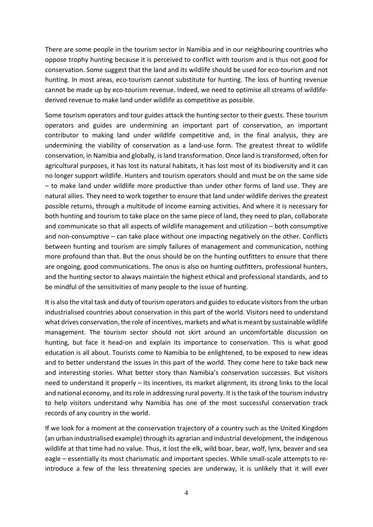There are some people in the tourism sector in Namibia and in our neighbouring countries who oppose trophy hunting because it is perceived to conflict with tourism and is thus not good for conservation. Some suggest that the land and its wildlife should be used for eco-tourism and not hunting. In most areas, eco-tourism cannot substitute for hunting. The loss of hunting revenue cannot be made up by eco-tourism revenue. Indeed, we need to optimise all streams of wildlifederived revenue to make land under wildlife as competitive as possible.

Some tourism operators and tour guides attack the hunting sector to their guests. These tourism operators and guides are undermining an important part of conservation, an important contributor to making land under wildlife competitive and, in the final analysis, they are undermining the viability of conservation as a land-use form. The greatest threat to wildlife conservation, in Namibia and globally, is land transformation. Once land is transformed, often for agricultural purposes, it has lost its natural habitats, it has lost most of its biodiversity and it can no longer support wildlife. Hunters and tourism operators should and must be on the same side – to make land under wildlife more productive than under other forms of land use. They are natural allies. They need to work together to ensure that land under wildlife derives the greatest possible returns, through a multitude of income earning activities. And where it is necessary for both hunting and tourism to take place on the same piece of land, they need to plan, collaborate and communicate so that all aspects of wildlife management and utilization – both consumptive and non-consumptive – can take place without one impacting negatively on the other. Conflicts between hunting and tourism are simply failures of management and communication, nothing more profound than that. But the onus should be on the hunting outfitters to ensure that there are ongoing, good communications. The onus is also on hunting outfitters, professional hunters, and the hunting sector to always maintain the highest ethical and professional standards, and to be mindful of the sensitivities of many people to the issue of hunting.

It is also the vital task and duty of tourism operators and guides to educate visitors from the urban industrialised countries about conservation in this part of the world. Visitors need to understand what drives conservation, the role of incentives, markets and what is meant by sustainable wildlife management. The tourism sector should not skirt around an uncomfortable discussion on hunting, but face it head-on and explain its importance to conservation. This is what good education is all about. Tourists come to Namibia to be enlightened, to be exposed to new ideas and to better understand the issues in this part of the world. They come here to take back new and interesting stories. What better story than Namibia's conservation successes. But visitors need to understand it properly – its incentives, its market alignment, its strong links to the local and national economy, and its role in addressing rural poverty. It is the task of the tourism industry to help visitors understand why Namibia has one of the most successful conservation track records of any country in the world.

If we look for a moment at the conservation trajectory of a country such as the United Kingdom (an urban industrialised example) through its agrarian and industrial development, the indigenous wildlife at that time had no value. Thus, it lost the elk, wild boar, bear, wolf, lynx, beaver and sea eagle – essentially its most charismatic and important species. While small-scale attempts to reintroduce a few of the less threatening species are underway, it is unlikely that it will ever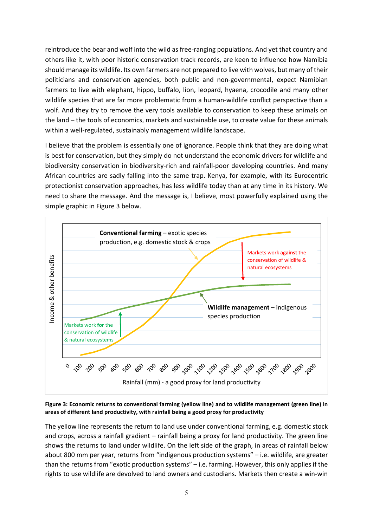reintroduce the bear and wolf into the wild as free-ranging populations. And yet that country and others like it, with poor historic conservation track records, are keen to influence how Namibia should manage its wildlife. Its own farmers are not prepared to live with wolves, but many of their politicians and conservation agencies, both public and non-governmental, expect Namibian farmers to live with elephant, hippo, buffalo, lion, leopard, hyaena, crocodile and many other wildlife species that are far more problematic from a human-wildlife conflict perspective than a wolf. And they try to remove the very tools available to conservation to keep these animals on the land – the tools of economics, markets and sustainable use, to create value for these animals within a well-regulated, sustainably management wildlife landscape.

I believe that the problem is essentially one of ignorance. People think that they are doing what is best for conservation, but they simply do not understand the economic drivers for wildlife and biodiversity conservation in biodiversity-rich and rainfall-poor developing countries. And many African countries are sadly falling into the same trap. Kenya, for example, with its Eurocentric protectionist conservation approaches, has less wildlife today than at any time in its history. We need to share the message. And the message is, I believe, most powerfully explained using the simple graphic in Figure 3 below.



**Figure 3: Economic returns to conventional farming (yellow line) and to wildlife management (green line) in areas of different land productivity, with rainfall being a good proxy for productivity**

The yellow line represents the return to land use under conventional farming, e.g. domestic stock and crops, across a rainfall gradient – rainfall being a proxy for land productivity. The green line shows the returns to land under wildlife. On the left side of the graph, in areas of rainfall below about 800 mm per year, returns from "indigenous production systems" – i.e. wildlife, are greater than the returns from "exotic production systems" – i.e. farming. However, this only applies if the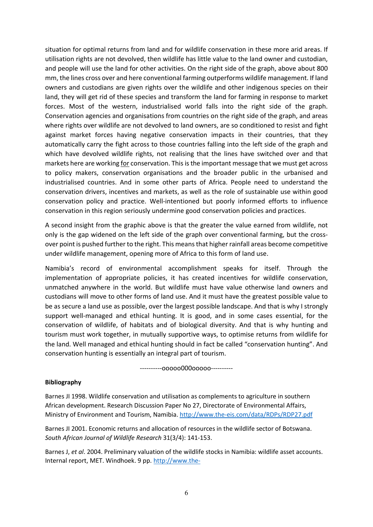situation for optimal returns from land and for wildlife conservation in these more arid areas. If utilisation rights are not devolved, then wildlife has little value to the land owner and custodian, and people will use the land for other activities. On the right side of the graph, above about 800 mm, the lines cross over and here conventional farming outperforms wildlife management. If land owners and custodians are given rights over the wildlife and other indigenous species on their land, they will get rid of these species and transform the land for farming in response to market forces. Most of the western, industrialised world falls into the right side of the graph. Conservation agencies and organisations from countries on the right side of the graph, and areas where rights over wildlife are not devolved to land owners, are so conditioned to resist and fight against market forces having negative conservation impacts in their countries, that they automatically carry the fight across to those countries falling into the left side of the graph and which have devolved wildlife rights, not realising that the lines have switched over and that markets here are working for conservation. This is the important message that we must get across to policy makers, conservation organisations and the broader public in the urbanised and industrialised countries. And in some other parts of Africa. People need to understand the conservation drivers, incentives and markets, as well as the role of sustainable use within good conservation policy and practice. Well-intentioned but poorly informed efforts to influence conservation in this region seriously undermine good conservation policies and practices.

A second insight from the graphic above is that the greater the value earned from wildlife, not only is the gap widened on the left side of the graph over conventional farming, but the crossover point is pushed further to the right. This means that higher rainfall areas become competitive under wildlife management, opening more of Africa to this form of land use.

Namibia's record of environmental accomplishment speaks for itself. Through the implementation of appropriate policies, it has created incentives for wildlife conservation, unmatched anywhere in the world. But wildlife must have value otherwise land owners and custodians will move to other forms of land use. And it must have the greatest possible value to be as secure a land use as possible, over the largest possible landscape. And that is why I strongly support well-managed and ethical hunting. It is good, and in some cases essential, for the conservation of wildlife, of habitats and of biological diversity. And that is why hunting and tourism must work together, in mutually supportive ways, to optimise returns from wildlife for the land. Well managed and ethical hunting should in fact be called "conservation hunting". And conservation hunting is essentially an integral part of tourism.

----------ooooo000ooooo----------

## **Bibliography**

Barnes JI 1998. Wildlife conservation and utilisation as complements to agriculture in southern African development. Research Discussion Paper No 27, Directorate of Environmental Affairs, Ministry of Environment and Tourism, Namibia. http://www.the-eis.com/data/RDPs/RDP27.pdf

Barnes JI 2001. Economic returns and allocation of resources in the wildlife sector of Botswana. *South African Journal of Wildlife Research* 31(3/4): 141-153.

Barnes J, *et al*. 2004. Preliminary valuation of the wildlife stocks in Namibia: wildlife asset accounts. Internal report, MET. Windhoek. 9 pp. http://www.the